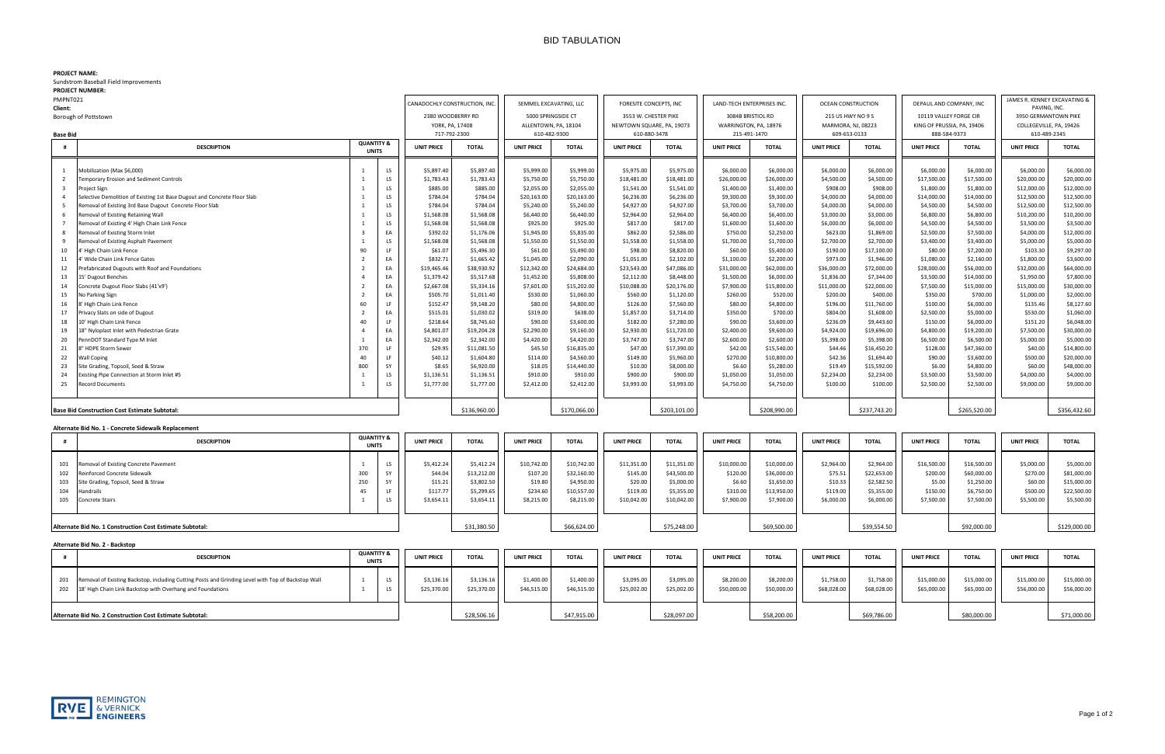## BID TABULATION

### **PROJECT NAME:**

Sundstrom Baseball Field Improvements

|  | <b>PROJECT NUMBER:</b> |  |
|--|------------------------|--|
|--|------------------------|--|

| PROJECI NUMBER:                                                                            |                                       |                   |                                              |                 |                                      |              |                            |              |                       |              |                         |              |                                              |              |                         |              |  |
|--------------------------------------------------------------------------------------------|---------------------------------------|-------------------|----------------------------------------------|-----------------|--------------------------------------|--------------|----------------------------|--------------|-----------------------|--------------|-------------------------|--------------|----------------------------------------------|--------------|-------------------------|--------------|--|
| PMPNT021                                                                                   | CANADOCHLY CONSTRUCTION, INC          |                   | SEMMEL EXCAVATING, LLC<br>5000 SPRINGSIDE CT |                 | FORESITE CONCEPTS, INC               |              | LAND-TECH ENTERPRISES INC. |              | OCEAN CONSTRUCTION    |              | DEPAUL AND COMPANY, INC |              | JAMES R. KENNEY EXCAVATING &<br>PAVING. INC. |              |                         |              |  |
| Client:                                                                                    |                                       |                   |                                              |                 |                                      |              | 3553 W. CHESTER PIKE       |              |                       |              |                         |              |                                              |              | 3950 GERMANTOWN PIKE    |              |  |
| Borough of Pottstown                                                                       |                                       | 2380 WOODBERRY RD |                                              |                 | 3084B BRISTIOL RD                    |              |                            |              | 215 US HWY NO 9 S     |              | 10119 VALLEY FORGE CIR  |              |                                              |              |                         |              |  |
|                                                                                            |                                       |                   |                                              | YORK, PA, 17408 | ALLENTOWN, PA, 18104<br>610-482-9300 |              | NEWTOWN SQUARE, PA, 19073  |              | WARRINGTON, PA, 18976 |              | MARMORA, NJ, 08223      |              | KING OF PRUSSIA, PA, 19406                   |              | COLLEGEVILLE, PA, 19426 |              |  |
| <b>Base Bid</b>                                                                            |                                       |                   | 717-792-2300                                 |                 |                                      |              | 610-880-3478               |              | 215-491-1470          |              | 609-653-0133            |              | 888-584-9373                                 |              | 610-489-2345            |              |  |
| <b>DESCRIPTION</b><br>#                                                                    | <b>QUANTITY &amp;</b><br><b>UNITS</b> |                   | <b>TOTAL</b><br><b>UNIT PRICE</b>            |                 | <b>UNIT PRICE</b>                    | <b>TOTAL</b> | <b>UNIT PRICE</b>          | <b>TOTAL</b> | <b>UNIT PRICE</b>     | <b>TOTAL</b> | <b>UNIT PRICE</b>       | <b>TOTAL</b> | <b>UNIT PRICE</b>                            | <b>TOTAL</b> | <b>UNIT PRICE</b>       | <b>TOTAL</b> |  |
| Mobilization (Max \$6,000)                                                                 |                                       | LS                | \$5,897.40                                   | \$5,897.40      | \$5,999.00                           | \$5,999.00   | \$5,975.00                 | \$5,975.00   | \$6,000.00            | \$6,000.00   | \$6,000.00              | \$6,000.00   | \$6,000.00                                   | \$6,000.00   | \$6,000.00              | \$6,000.00   |  |
| emporary Erosion and Sediment Controls                                                     |                                       | LS                | \$1,783.43                                   | \$1,783.43      | \$5,750.00                           | \$5,750.00   | \$18,481.00                | \$18,481.00  | \$26,000.00           | \$26,000.00  | \$4,500.00              | \$4,500.00   | \$17,500.00                                  | \$17,500.00  | \$20,000.00             | \$20,000.00  |  |
| roject Sign                                                                                |                                       | LS                | \$885.00                                     | \$885.00        | \$2,055.00                           | \$2,055.00   | \$1,541.00                 | \$1,541.00   | \$1,400.00            | \$1,400.00   | \$908.00                | \$908.00     | \$1,800.00                                   | \$1,800.00   | \$12,000.00             | \$12,000.00  |  |
| Selective Demolition of Existing 1st Base Dugout and Concrete Floor Slab<br>$\overline{a}$ |                                       | LS                | \$784.04                                     | \$784.04        | \$20,163.00                          | \$20,163.00  | \$6,236.00                 | \$6,236.00   | \$9,300.00            | \$9,300.00   | \$4,000.00              | \$4,000.00   | \$14,000.00                                  | \$14,000.00  | \$12,500.00             | \$12,500.00  |  |
| Removal of Existing 3rd Base Dugout Concrete Floor Slab                                    |                                       | LS                | \$784.04                                     | \$784.04        | \$5,240.00                           | \$5,240.00   | \$4,927.00                 | \$4,927.00   | \$3,700.00            | \$3,700.00   | \$4,000.00              | \$4,000.00   | \$4,500.00                                   | \$4,500.00   | \$12,500.00             | \$12,500.00  |  |
| Removal of Existing Retaining Wall<br>6                                                    |                                       | LS.               | \$1,568.08                                   | \$1,568.08      | \$6,440.00                           | \$6,440.00   | \$2,964.00                 | \$2,964.00   | \$6,400.00            | \$6,400.00   | \$3,000.00              | \$3,000.00   | \$6,800.00                                   | \$6,800.00   | \$10,200.00             | \$10,200.00  |  |
| Removal of Existing 4' High Chain Link Fence                                               |                                       | LS                | \$1,568.08                                   | \$1,568.08      | \$925.00                             | \$925.00     | \$817.00                   | \$817.00     | \$1,600.00            | \$1,600.00   | \$6,000.00              | \$6,000.00   | \$4,500.00                                   | \$4,500.00   | \$3,500.00              | \$3,500.00   |  |
| Removal of Existing Storm Inlet                                                            |                                       | EA                | \$392.02                                     | \$1,176.06      | \$1,945.00                           | \$5,835.00   | \$862.00                   | \$2,586.00   | \$750.00              | \$2,250.00   | \$623.00                | \$1,869.00   | \$2,500.00                                   | \$7,500.00   | \$4,000.00              | \$12,000.00  |  |
| Removal of Existing Asphalt Pavement<br>9                                                  |                                       | LS                | \$1,568.08                                   | \$1,568.08      | \$1,550.00                           | \$1,550.00   | \$1,558.00                 | \$1,558.00   | \$1,700.00            | \$1,700.00   | \$2,700.00              | \$2,700.00   | \$3,400.00                                   | \$3,400.00   | \$5,000.00              | \$5,000.00   |  |
| 10<br>High Chain Link Fence                                                                | 90                                    | LF.               | \$61.07                                      | \$5,496.30      | \$61.00                              | \$5,490.00   | \$98.00                    | \$8,820.00   | \$60.00               | \$5,400.00   | \$190.00                | \$17,100.00  | \$80.00                                      | \$7,200.00   | \$103.30                | \$9,297.00   |  |
| Wide Chain Link Fence Gates<br>11                                                          |                                       | EA                | \$832.71                                     | \$1,665.42      | \$1,045.00                           | \$2,090.00   | \$1,051.00                 | \$2,102.00   | \$1,100.00            | \$2,200.00   | \$973.00                | \$1,946.00   | \$1,080.00                                   | \$2,160.00   | \$1,800.00              | \$3,600.00   |  |
| Prefabricated Dugouts with Roof and Foundations<br>12                                      |                                       | EA                | \$19,465.46                                  | \$38,930.92     | \$12,342.00                          | \$24,684.00  | \$23,543.00                | \$47,086.00  | \$31,000.00           | \$62,000.00  | \$36,000.00             | \$72,000.00  | \$28,000.00                                  | \$56,000.00  | \$32,000.00             | \$64,000.00  |  |
| 13<br>15' Dugout Benches                                                                   |                                       | EA                | \$1,379.42                                   | \$5,517.68      | \$1,452.00                           | \$5,808.00   | \$2,112.00                 | \$8,448.00   | \$1,500.00            | \$6,000.00   | \$1,836.00              | \$7,344.00   | \$3,500.00                                   | \$14,000.00  | \$1,950.00              | \$7,800.00   |  |
| 14<br>Concrete Dugout Floor Slabs (41'x9')                                                 |                                       | EA                | \$2,667.08                                   | \$5,334.16      | \$7,601.00                           | \$15,202.00  | \$10,088.00                | \$20,176.00  | \$7,900.00            | \$15,800.00  | \$11,000.00             | \$22,000.00  | \$7,500.00                                   | \$15,000.00  | \$15,000.00             | \$30,000.00  |  |
| 15<br>No Parking Sign                                                                      |                                       | EA                | \$505.70                                     | \$1,011.40      | \$530.00                             | \$1,060.00   | \$560.00                   | \$1,120.00   | \$260.00              | \$520.00     | \$200.00                | \$400.00     | \$350.00                                     | \$700.00     | \$1,000.00              | \$2,000.00   |  |
| 16<br>High Chain Link Fence                                                                | 60                                    | LF.               | \$152.47                                     | \$9,148.20      | \$80.00                              | \$4,800.00   | \$126.00                   | \$7,560.00   | \$80.00               | \$4,800.00   | \$196.00                | \$11,760.00  | \$100.00                                     | \$6,000.00   | \$135.46                | \$8,127.60   |  |
| 17<br>rivacy Slats on side of Dugout                                                       |                                       | EA                | \$515.01                                     | \$1,030.02      | \$319.00                             | \$638.00     | \$1,857.00                 | \$3,714.00   | \$350.00              | \$700.00     | \$804.00                | \$1,608.00   | \$2,500.00                                   | \$5,000.00   | \$530.00                | \$1,060.00   |  |
| 18<br>10' High Chain Link Fence                                                            | 40                                    | LF.               | \$218.64                                     | \$8,745.60      | \$90.00                              | \$3,600.00   | \$182.00                   | \$7,280.00   | \$90.00               | \$3,600.00   | \$236.09                | \$9,443.60   | \$150.00                                     | \$6,000.00   | \$151.20                | \$6,048.00   |  |
| 19<br>8" Nyloplast Inlet with Pedestrian Grate                                             |                                       | EA                | \$4,801.07                                   | \$19,204.28     | \$2,290.00                           | \$9,160.00   | \$2,930.00                 | \$11,720.00  | \$2,400.00            | \$9,600.00   | \$4,924.00              | \$19,696.00  | \$4,800.00                                   | \$19,200.00  | \$7,500.00              | \$30,000.00  |  |
| 20<br>ennDOT Standard Type M Inlet                                                         |                                       | EA                | \$2,342.00                                   | \$2,342.00      | \$4,420.00                           | \$4,420.00   | \$3,747.00                 | \$3,747.00   | \$2,600.00            | \$2,600.00   | \$5,398.00              | \$5,398.00   | \$6,500.00                                   | \$6,500.00   | \$5,000.00              | \$5,000.00   |  |
| 21<br>HDPE Storm Sewer                                                                     | 370                                   | LF                | \$29.95                                      | \$11,081.50     | \$45.50                              | \$16,835.00  | \$47.00                    | \$17,390.00  | \$42.00               | \$15,540.00  | \$44.46                 | \$16,450.20  | \$128.00                                     | \$47,360.00  | \$40.00                 | \$14,800.00  |  |
| 22<br><b>Wall Coping</b>                                                                   | 40                                    | LF                | \$40.12                                      | \$1,604.80      | \$114.00                             | \$4,560.00   | \$149.00                   | \$5,960.00   | \$270.00              | \$10,800.00  | \$42.36                 | \$1,694.40   | \$90.00                                      | \$3,600.00   | \$500.00                | \$20,000.00  |  |
| 23<br>Site Grading, Topsoil, Seed & Straw                                                  | 800                                   | SY                | \$8.65                                       | \$6,920.00      | \$18.05                              | \$14,440.00  | \$10.00                    | \$8,000.00   | \$6.60                | \$5,280.00   | \$19.49                 | \$15,592.00  | \$6.00                                       | \$4,800.00   | \$60.00                 | \$48,000.00  |  |
| 24<br>xisting Pipe Connection at Storm Inlet #5                                            |                                       | LS                | \$1,136.51                                   | \$1,136.51      | \$910.00                             | \$910.00     | \$900.00                   | \$900.00     | \$1,050.00            | \$1,050.00   | \$2,234.00              | \$2,234.00   | \$3,500.00                                   | \$3,500.00   | \$4,000.00              | \$4,000.00   |  |
| 25<br>ecord Documents                                                                      |                                       | LS                | \$1,777.00                                   | \$1,777.00      | \$2,412.00                           | \$2,412.00   | \$3,993.00                 | \$3,993.00   | \$4,750.00            | \$4,750.00   | \$100.00                | \$100.00     | \$2,500.00                                   | \$2,500.00   | \$9,000.00              | \$9,000.00   |  |
| Base Bid Construction Cost Estimate Subtotal:                                              |                                       |                   |                                              | \$136,960.00    |                                      | \$170,066.00 |                            | \$203,101.00 |                       | \$208,990.00 |                         | \$237,743.20 |                                              | \$265,520.00 |                         | \$356,432.60 |  |

#### **Alternate Bid No. 1 - Concrete Sidewalk Replacement**

### **Alternate Bid No. 2 - Backstop**

|                                                                                                                                                             | <b>DESCRIPTION</b> | <b>QUANTITY &amp;</b><br><b>UNITS</b> |                  | <b>UNIT PRICE</b>                                          | <b>TOTAL</b>                                                        | <b>UNIT PRICE</b>                                            | <b>TOTAL</b>                                                          | <b>UNIT PRICE</b>                                             | <b>TOTAI</b>                                                          | <b>UNIT PRICE</b>                                           | <b>TOTAL</b>                                                          | <b>UNIT PRICE</b>                                          | <b>TOTAL</b>                                                        | <b>UNIT PRICE</b>                                           | <b>TOTAL</b>                                                         | <b>UNIT PRICE</b>                                           | <b>TOTAL</b>                                                          |
|-------------------------------------------------------------------------------------------------------------------------------------------------------------|--------------------|---------------------------------------|------------------|------------------------------------------------------------|---------------------------------------------------------------------|--------------------------------------------------------------|-----------------------------------------------------------------------|---------------------------------------------------------------|-----------------------------------------------------------------------|-------------------------------------------------------------|-----------------------------------------------------------------------|------------------------------------------------------------|---------------------------------------------------------------------|-------------------------------------------------------------|----------------------------------------------------------------------|-------------------------------------------------------------|-----------------------------------------------------------------------|
| 101<br>Removal of Existing Concrete Pavement<br>102 Reinforced Concrete Sidewalk<br>Site Grading, Topsoil, Seed & Straw<br>Handrails<br>105 Concrete Stairs |                    | 300<br>45                             | LS<br>LF.<br>LS. | \$5,412.24<br>\$44.04<br>\$15.21<br>\$117.77<br>\$3,654.11 | \$5,412.24<br>\$13,212.00<br>\$3,802.50<br>\$5,299.65<br>\$3,654.11 | \$10,742.00<br>\$107.20<br>\$19.80<br>\$234.60<br>\$8,215.00 | \$10,742.00<br>\$32,160.00<br>\$4,950.00<br>\$10,557.00<br>\$8,215.00 | \$11,351.00<br>\$145.00<br>\$20.00<br>\$119.00<br>\$10,042.00 | \$11,351.00<br>\$43,500.00<br>\$5,000.00<br>\$5,355.00<br>\$10,042.00 | \$10,000.00<br>\$120.00<br>\$6.60<br>\$310.00<br>\$7,900.00 | \$10,000.00<br>\$36,000.00<br>\$1,650.00<br>\$13,950.00<br>\$7,900.00 | \$2,964.00<br>\$75.51<br>\$10.33<br>\$119.00<br>\$6,000.00 | \$2,964.00<br>\$22,653.00<br>\$2,582.50<br>\$5,355.00<br>\$6,000.00 | \$16,500.00<br>\$200.00<br>\$5.00<br>\$150.00<br>\$7,500.00 | \$16,500.00<br>\$60,000.00<br>\$1,250.00<br>\$6,750.00<br>\$7,500.00 | \$5,000.00<br>\$270.00<br>\$60.00<br>\$500.00<br>\$5,500.00 | \$5,000.00<br>\$81,000.00<br>\$15,000.00<br>\$22,500.00<br>\$5,500.00 |
| Alternate Bid No. 1 Construction Cost Estimate Subtotal:                                                                                                    |                    |                                       |                  |                                                            |                                                                     |                                                              | \$66,624.00                                                           |                                                               | \$75,248.00                                                           |                                                             | \$69,500.00                                                           |                                                            | \$39,554.50                                                         |                                                             | \$92,000.00                                                          |                                                             | \$129,000.00                                                          |

|                                                          | <b>DESCRIPTION</b>                                                                                                                                                   | <b>QUANTITY &amp;</b><br><b>UNITS</b> |          | <b>UNIT PRICE</b>         | <b>TOTAL</b>              | <b>UNIT PRICE</b>         | <b>TOTAL</b>              | <b>UNIT PRICE</b>         | <b>TOTAL</b>              | <b>UNIT PRICE</b>         | <b>TOTAL</b>              | <b>UNIT PRICE</b>         | <b>TOTAL</b>              | <b>UNIT PRICE</b>          | <b>TOTAL</b>               | <b>UNIT PRICE</b>          | <b>TOTAL</b>               |
|----------------------------------------------------------|----------------------------------------------------------------------------------------------------------------------------------------------------------------------|---------------------------------------|----------|---------------------------|---------------------------|---------------------------|---------------------------|---------------------------|---------------------------|---------------------------|---------------------------|---------------------------|---------------------------|----------------------------|----------------------------|----------------------------|----------------------------|
|                                                          | Removal of Existing Backstop, including Cutting Posts and Grinding Level with Top of Backstop Wall<br>202 18' High Chain Link Backstop with Overhang and Foundations |                                       | LS<br>LS | \$3,136.16<br>\$25,370.00 | \$3,136.16<br>\$25,370.00 | \$1,400.00<br>\$46,515.00 | \$1,400.00<br>\$46,515.00 | \$3,095.00<br>\$25,002.00 | \$3,095.00<br>\$25,002.00 | \$8,200.00<br>\$50,000.00 | \$8,200.00<br>\$50,000.00 | \$1,758.00<br>\$68,028.00 | \$1,758.00<br>\$68,028.00 | \$15,000.00<br>\$65,000.00 | \$15,000.00<br>\$65,000.00 | \$15,000.00<br>\$56,000.00 | \$15,000.00<br>\$56,000.00 |
| Alternate Bid No. 2 Construction Cost Estimate Subtotal: |                                                                                                                                                                      |                                       |          |                           | \$28,506.16               |                           | \$47,915.00               |                           | \$28,097.00               |                           | \$58,200.00               |                           | \$69,786.00               |                            | \$80,000.00                |                            | \$71,000.00                |